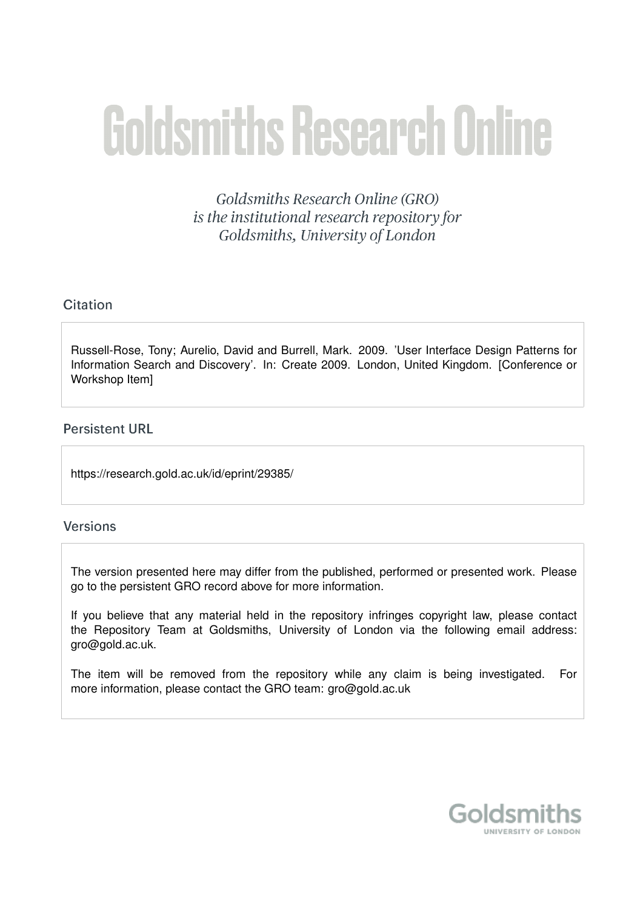# **Goldsmiths Research Online**

Goldsmiths Research Online (GRO) is the institutional research repository for Goldsmiths, University of London

# Citation

Russell-Rose, Tony; Aurelio, David and Burrell, Mark. 2009. 'User Interface Design Patterns for Information Search and Discovery'. In: Create 2009. London, United Kingdom. [Conference or Workshop Item]

# **Persistent URL**

https://research.gold.ac.uk/id/eprint/29385/

## **Versions**

The version presented here may differ from the published, performed or presented work. Please go to the persistent GRO record above for more information.

If you believe that any material held in the repository infringes copyright law, please contact the Repository Team at Goldsmiths, University of London via the following email address: gro@gold.ac.uk.

The item will be removed from the repository while any claim is being investigated. For more information, please contact the GRO team: gro@gold.ac.uk

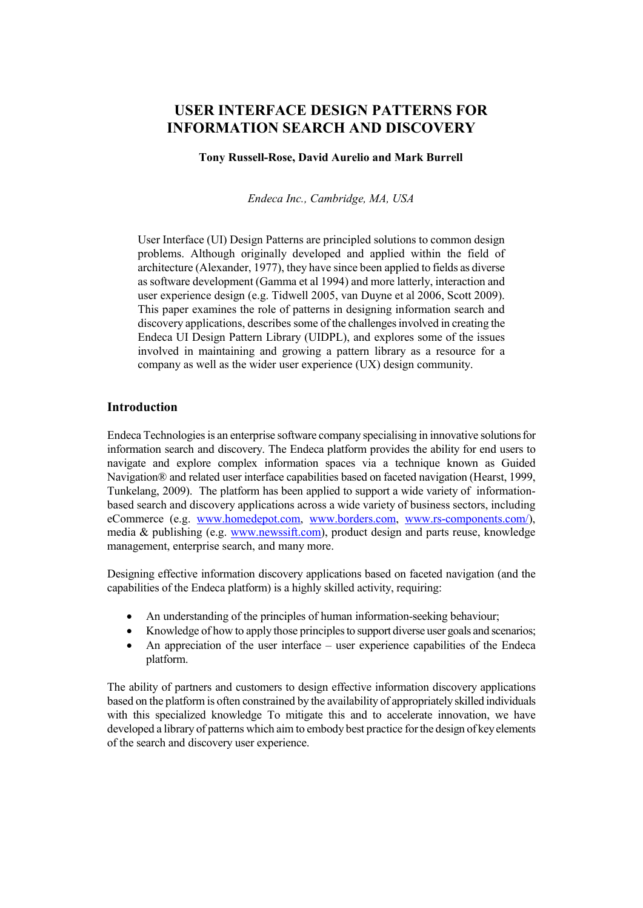# **USER INTERFACE DESIGN PATTERNS FOR INFORMATION SEARCH AND DISCOVERY**

#### **Tony Russell-Rose, David Aurelio and Mark Burrell**

*Endeca Inc., Cambridge, MA, USA*

User Interface (UI) Design Patterns are principled solutions to common design problems. Although originally developed and applied within the field of architecture (Alexander, 1977), they have since been applied to fields as diverse as software development (Gamma et al 1994) and more latterly, interaction and user experience design (e.g. Tidwell 2005, van Duyne et al 2006, Scott 2009). This paper examines the role of patterns in designing information search and discovery applications, describes some of the challenges involved in creating the Endeca UI Design Pattern Library (UIDPL), and explores some of the issues involved in maintaining and growing a pattern library as a resource for a company as well as the wider user experience (UX) design community.

#### **Introduction**

Endeca Technologies is an enterprise software company specialising in innovative solutionsfor information search and discovery. The Endeca platform provides the ability for end users to navigate and explore complex information spaces via a technique known as Guided Navigation® and related user interface capabilities based on faceted navigation (Hearst, 1999, Tunkelang, 2009). The platform has been applied to support a wide variety of informationbased search and discovery applications across a wide variety of business sectors, including eCommerce (e.g. [www.homedepot.com,](http://www.homedepot.com/) [www.borders.com,](http://www.borders.com/) [www.rs-components.com/\)](http://www.rs-components.com/), media & publishing (e.g. [www.newssift.com\)](http://www.newsift.com/), product design and parts reuse, knowledge management, enterprise search, and many more.

Designing effective information discovery applications based on faceted navigation (and the capabilities of the Endeca platform) is a highly skilled activity, requiring:

- An understanding of the principles of human information-seeking behaviour;
- Knowledge of how to apply those principles to support diverse user goals and scenarios;
- An appreciation of the user interface user experience capabilities of the Endeca platform.

The ability of partners and customers to design effective information discovery applications based on the platform is often constrained by the availability of appropriately skilled individuals with this specialized knowledge To mitigate this and to accelerate innovation, we have developed a library of patterns which aim to embody best practice for the design of key elements of the search and discovery user experience.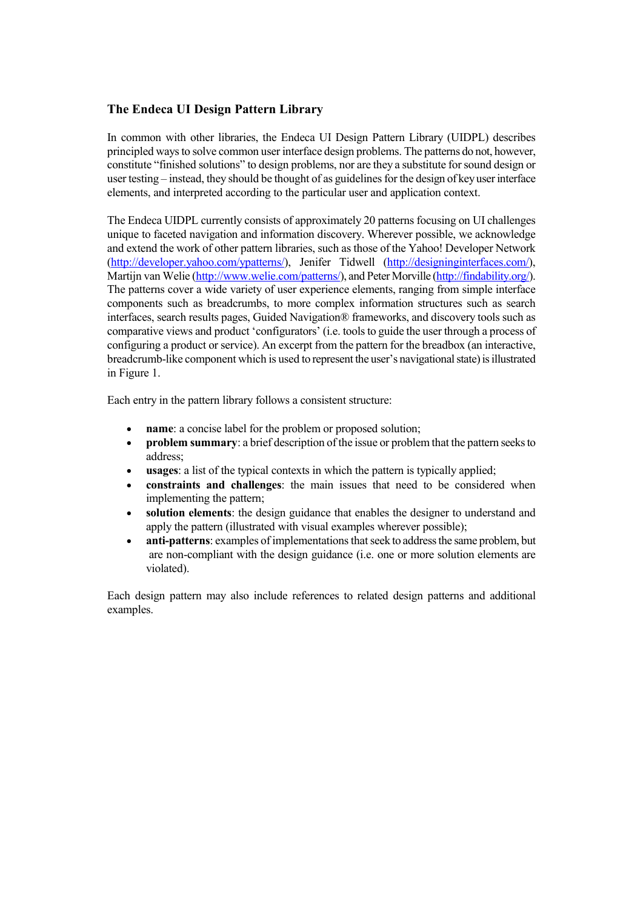## **The Endeca UI Design Pattern Library**

In common with other libraries, the Endeca UI Design Pattern Library (UIDPL) describes principled ways to solve common user interface design problems. The patterns do not, however, constitute "finished solutions" to design problems, nor are they a substitute for sound design or user testing – instead, they should be thought of as guidelines for the design of key user interface elements, and interpreted according to the particular user and application context.

The Endeca UIDPL currently consists of approximately 20 patterns focusing on UI challenges unique to faceted navigation and information discovery. Wherever possible, we acknowledge and extend the work of other pattern libraries, such as those of the Yahoo! Developer Network [\(http://developer.yahoo.com/ypatterns/\)](http://developer.yahoo.com/ypatterns/), Jenifer Tidwell [\(http://designinginterfaces.com/\)](http://designinginterfaces.com/), Martijn van Welie [\(http://www.welie.com/patterns/\)](http://www.welie.com/patterns/), and Peter Morville [\(http://findability.org/\)](http://findability.org/). The patterns cover a wide variety of user experience elements, ranging from simple interface components such as breadcrumbs, to more complex information structures such as search interfaces, search results pages, Guided Navigation® frameworks, and discovery tools such as comparative views and product 'configurators' (i.e. tools to guide the user through a process of configuring a product or service). An excerpt from the pattern for the breadbox (an interactive, breadcrumb-like component which is used to represent the user's navigational state) is illustrated in Figure 1.

Each entry in the pattern library follows a consistent structure:

- **name**: a concise label for the problem or proposed solution;
- **problem summary**: a brief description of the issue or problem that the pattern seeks to address;
- **usages**: a list of the typical contexts in which the pattern is typically applied;
- **constraints and challenges**: the main issues that need to be considered when implementing the pattern;
- **solution elements**: the design guidance that enables the designer to understand and apply the pattern (illustrated with visual examples wherever possible);
- **anti-patterns**: examples of implementations that seek to address the same problem, but are non-compliant with the design guidance (i.e. one or more solution elements are violated).

Each design pattern may also include references to related design patterns and additional examples.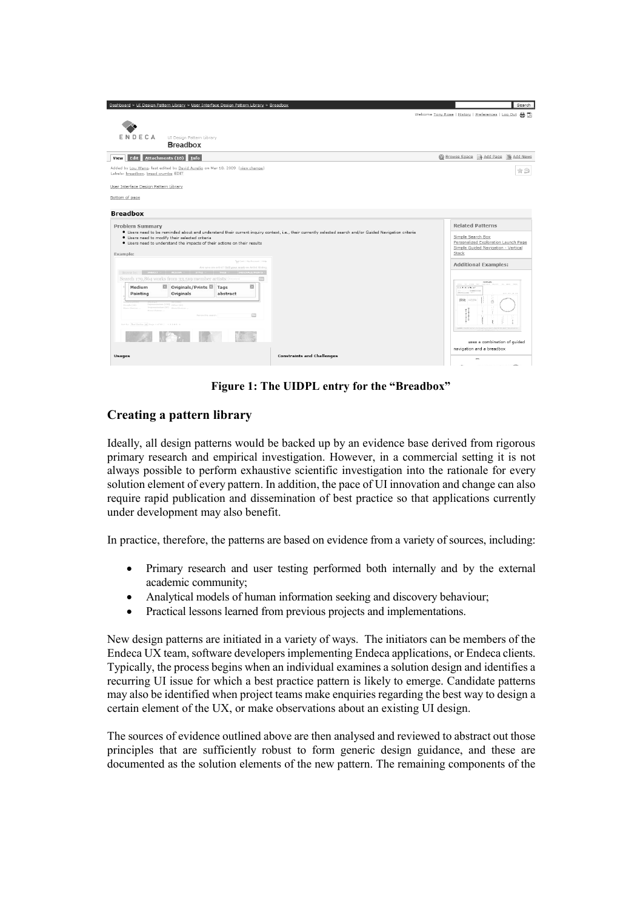| Dashboard > UI Design Pattern Library > User Interface Design Pattern Library > Breadbox                                                                                                                  | Search<br>Welcome Tony Rose   History   Preferences   Log Out 4 页           |
|-----------------------------------------------------------------------------------------------------------------------------------------------------------------------------------------------------------|-----------------------------------------------------------------------------|
|                                                                                                                                                                                                           |                                                                             |
|                                                                                                                                                                                                           |                                                                             |
| ENDECA<br>UI Design Pattern Library                                                                                                                                                                       |                                                                             |
| <b>Breadbox</b>                                                                                                                                                                                           |                                                                             |
| Edit<br>Attachments (18) Info<br><b>View</b>                                                                                                                                                              | Browse Space & Add Page & Add News                                          |
| Added by Lou Wang, last edited by David Aurelio on Mar 18, 2009 (view change)<br>Labels: breadbox, bread crumbs EDIT                                                                                      | $\hat{\mathbb{Z}} \boxtimes$                                                |
| User Interface Design Pattern Library                                                                                                                                                                     |                                                                             |
| Bottom of page                                                                                                                                                                                            |                                                                             |
|                                                                                                                                                                                                           |                                                                             |
| <b>Breadbox</b>                                                                                                                                                                                           |                                                                             |
| <b>Problem Summary</b>                                                                                                                                                                                    | <b>Related Patterns</b>                                                     |
| · Users need to be reminded about and understand their current inquiry context, i.e., their currently selected search and/or Guided Navigation criteria<br>• Users need to modify their selected criteria | Simple Search Box                                                           |
| • Users need to understand the impacts of their actions on their results                                                                                                                                  | Personalized Exploration Launch Page<br>Simple Guided Navigation - Vertical |
| Example:                                                                                                                                                                                                  | Stack                                                                       |
| Typ Cart   My Account   Help                                                                                                                                                                              | <b>Additional Examples:</b>                                                 |
| Are you an artist? Sell your work on Artist Rising<br><b>Browse by:</b> SUBJECT $\vee$ <b>HEDEVI <math>\vee</math> STYLE</b> $\vee$                                                                       |                                                                             |
| Search 179,864 works from 33,519 member artists: Keyword                                                                                                                                                  | <b>Brand</b>                                                                |
| 図<br>Medium<br>⊠ Originals/Prints ⊠ Tags<br>abstract<br>Originals<br>Painting                                                                                                                             | <b>XIVIEVADER</b> IGHT<br><b><i>CARDINAL</i></b><br>and a settlement in the |
| Expressionism (156) Other (43)                                                                                                                                                                            | 图3 (二)                                                                      |
| People (28)<br>Impressionism (47) More Choices<br><b>Maga Chaires</b><br>Mora Choices                                                                                                                     |                                                                             |
| $\overline{c}$<br>Namps this search.                                                                                                                                                                      |                                                                             |
| Sort by: Bert Mitches  M Page 1 of 80   12345 >                                                                                                                                                           |                                                                             |
|                                                                                                                                                                                                           | uses a combination of guided                                                |
|                                                                                                                                                                                                           | navigation and a breadbox                                                   |
| <b>Constraints and Challenges</b><br><b>Usages</b>                                                                                                                                                        |                                                                             |
|                                                                                                                                                                                                           |                                                                             |

**Figure 1: The UIDPL entry for the "Breadbox"**

#### **Creating a pattern library**

Ideally, all design patterns would be backed up by an evidence base derived from rigorous primary research and empirical investigation. However, in a commercial setting it is not always possible to perform exhaustive scientific investigation into the rationale for every solution element of every pattern. In addition, the pace of UI innovation and change can also require rapid publication and dissemination of best practice so that applications currently under development may also benefit.

In practice, therefore, the patterns are based on evidence from a variety of sources, including:

- Primary research and user testing performed both internally and by the external academic community;
- Analytical models of human information seeking and discovery behaviour;
- Practical lessons learned from previous projects and implementations.

New design patterns are initiated in a variety of ways. The initiators can be members of the Endeca UX team, software developers implementing Endeca applications, or Endeca clients. Typically, the process begins when an individual examines a solution design and identifies a recurring UI issue for which a best practice pattern is likely to emerge. Candidate patterns may also be identified when project teams make enquiries regarding the best way to design a certain element of the UX, or make observations about an existing UI design.

The sources of evidence outlined above are then analysed and reviewed to abstract out those principles that are sufficiently robust to form generic design guidance, and these are documented as the solution elements of the new pattern. The remaining components of the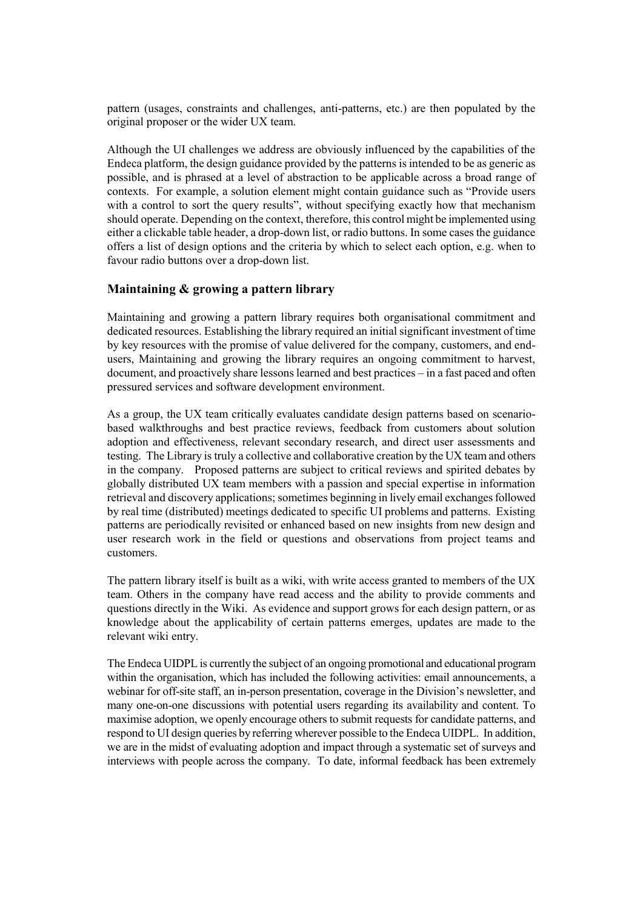pattern (usages, constraints and challenges, anti-patterns, etc.) are then populated by the original proposer or the wider UX team.

Although the UI challenges we address are obviously influenced by the capabilities of the Endeca platform, the design guidance provided by the patterns is intended to be as generic as possible, and is phrased at a level of abstraction to be applicable across a broad range of contexts. For example, a solution element might contain guidance such as "Provide users with a control to sort the query results", without specifying exactly how that mechanism should operate. Depending on the context, therefore, this control might be implemented using either a clickable table header, a drop-down list, or radio buttons. In some cases the guidance offers a list of design options and the criteria by which to select each option, e.g. when to favour radio buttons over a drop-down list.

#### **Maintaining & growing a pattern library**

Maintaining and growing a pattern library requires both organisational commitment and dedicated resources. Establishing the library required an initial significant investment of time by key resources with the promise of value delivered for the company, customers, and endusers, Maintaining and growing the library requires an ongoing commitment to harvest, document, and proactively share lessons learned and best practices – in a fast paced and often pressured services and software development environment.

As a group, the UX team critically evaluates candidate design patterns based on scenariobased walkthroughs and best practice reviews, feedback from customers about solution adoption and effectiveness, relevant secondary research, and direct user assessments and testing. The Library is truly a collective and collaborative creation by the UX team and others in the company. Proposed patterns are subject to critical reviews and spirited debates by globally distributed UX team members with a passion and special expertise in information retrieval and discovery applications; sometimes beginning in lively email exchanges followed by real time (distributed) meetings dedicated to specific UI problems and patterns. Existing patterns are periodically revisited or enhanced based on new insights from new design and user research work in the field or questions and observations from project teams and customers.

The pattern library itself is built as a wiki, with write access granted to members of the UX team. Others in the company have read access and the ability to provide comments and questions directly in the Wiki. As evidence and support grows for each design pattern, or as knowledge about the applicability of certain patterns emerges, updates are made to the relevant wiki entry.

The Endeca UIDPL is currently the subject of an ongoing promotional and educational program within the organisation, which has included the following activities: email announcements, a webinar for off-site staff, an in-person presentation, coverage in the Division's newsletter, and many one-on-one discussions with potential users regarding its availability and content. To maximise adoption, we openly encourage others to submit requests for candidate patterns, and respond to UI design queries by referring wherever possible to the Endeca UIDPL. In addition, we are in the midst of evaluating adoption and impact through a systematic set of surveys and interviews with people across the company. To date, informal feedback has been extremely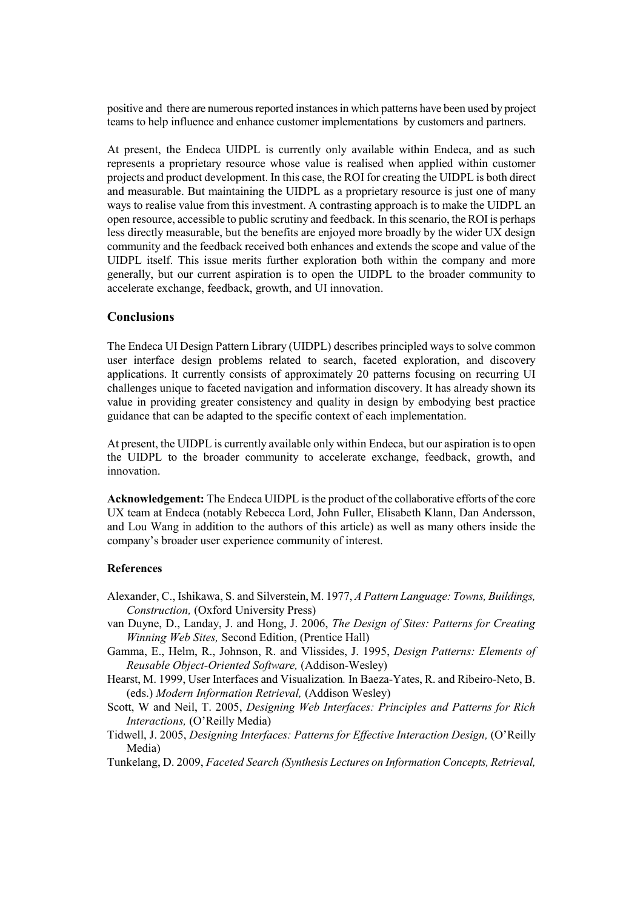positive and there are numerous reported instances in which patterns have been used by project teams to help influence and enhance customer implementations by customers and partners.

At present, the Endeca UIDPL is currently only available within Endeca, and as such represents a proprietary resource whose value is realised when applied within customer projects and product development. In this case, the ROI for creating the UIDPL is both direct and measurable. But maintaining the UIDPL as a proprietary resource is just one of many ways to realise value from this investment. A contrasting approach is to make the UIDPL an open resource, accessible to public scrutiny and feedback. In this scenario, the ROI is perhaps less directly measurable, but the benefits are enjoyed more broadly by the wider UX design community and the feedback received both enhances and extends the scope and value of the UIDPL itself. This issue merits further exploration both within the company and more generally, but our current aspiration is to open the UIDPL to the broader community to accelerate exchange, feedback, growth, and UI innovation.

#### **Conclusions**

The Endeca UI Design Pattern Library (UIDPL) describes principled ways to solve common user interface design problems related to search, faceted exploration, and discovery applications. It currently consists of approximately 20 patterns focusing on recurring UI challenges unique to faceted navigation and information discovery. It has already shown its value in providing greater consistency and quality in design by embodying best practice guidance that can be adapted to the specific context of each implementation.

At present, the UIDPL is currently available only within Endeca, but our aspiration is to open the UIDPL to the broader community to accelerate exchange, feedback, growth, and innovation.

**Acknowledgement:** The Endeca UIDPL is the product of the collaborative efforts of the core UX team at Endeca (notably Rebecca Lord, John Fuller, Elisabeth Klann, Dan Andersson, and Lou Wang in addition to the authors of this article) as well as many others inside the company's broader user experience community of interest.

#### **References**

- Alexander, C., Ishikawa, S. and Silverstein, M. 1977, *A Pattern Language: Towns, Buildings, Construction,* (Oxford University Press)
- van Duyne, D., Landay, J. and Hong, J. 2006, *The Design of Sites: Patterns for Creating Winning Web Sites,* Second Edition, (Prentice Hall)
- Gamma, E., Helm, R., Johnson, R. and Vlissides, J. 1995, *Design Patterns: Elements of Reusable Object-Oriented Software,* (Addison-Wesley)
- Hearst, M. 1999, User Interfaces and Visualization*.* In Baeza-Yates, R. and Ribeiro-Neto, B. (eds.) *Modern Information Retrieval,* (Addison Wesley)
- Scott, W and Neil, T. 2005, *Designing Web Interfaces: Principles and Patterns for Rich Interactions,* (O'Reilly Media)
- Tidwell, J. 2005, *Designing Interfaces: Patterns for Effective Interaction Design,* (O'Reilly Media)
- Tunkelang, D. 2009, *Faceted Search (Synthesis Lectures on Information Concepts, Retrieval,*